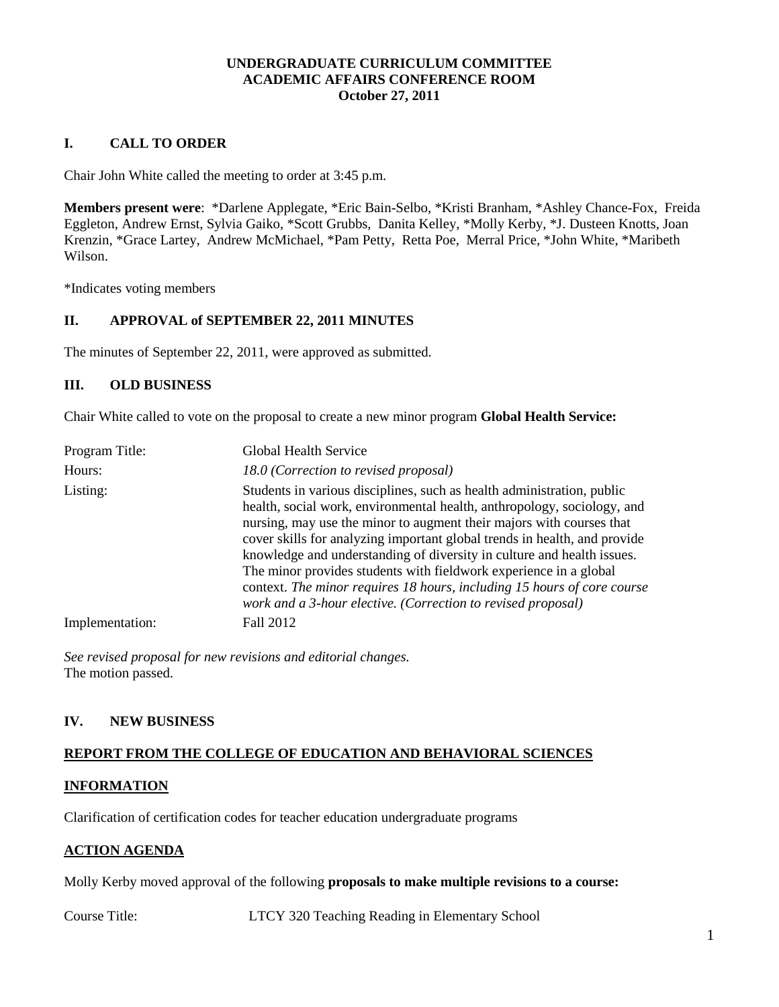#### **UNDERGRADUATE CURRICULUM COMMITTEE ACADEMIC AFFAIRS CONFERENCE ROOM October 27, 2011**

# **I. CALL TO ORDER**

Chair John White called the meeting to order at 3:45 p.m.

**Members present were**: \*Darlene Applegate, \*Eric Bain-Selbo, \*Kristi Branham, \*Ashley Chance-Fox, Freida Eggleton, Andrew Ernst, Sylvia Gaiko, \*Scott Grubbs, Danita Kelley, \*Molly Kerby, \*J. Dusteen Knotts, Joan Krenzin, \*Grace Lartey, Andrew McMichael, \*Pam Petty, Retta Poe, Merral Price, \*John White, \*Maribeth Wilson.

\*Indicates voting members

#### **II. APPROVAL of SEPTEMBER 22, 2011 MINUTES**

The minutes of September 22, 2011, were approved as submitted.

#### **III. OLD BUSINESS**

Chair White called to vote on the proposal to create a new minor program **Global Health Service:**

| Program Title:  | Global Health Service                                                                                                                                                                                                                                                                                                                                                                                                                                                                                                                                                                            |
|-----------------|--------------------------------------------------------------------------------------------------------------------------------------------------------------------------------------------------------------------------------------------------------------------------------------------------------------------------------------------------------------------------------------------------------------------------------------------------------------------------------------------------------------------------------------------------------------------------------------------------|
| Hours:          | 18.0 (Correction to revised proposal)                                                                                                                                                                                                                                                                                                                                                                                                                                                                                                                                                            |
| Listing:        | Students in various disciplines, such as health administration, public<br>health, social work, environmental health, anthropology, sociology, and<br>nursing, may use the minor to augment their majors with courses that<br>cover skills for analyzing important global trends in health, and provide<br>knowledge and understanding of diversity in culture and health issues.<br>The minor provides students with fieldwork experience in a global<br>context. The minor requires 18 hours, including 15 hours of core course<br>work and a 3-hour elective. (Correction to revised proposal) |
| Implementation: | Fall 2012                                                                                                                                                                                                                                                                                                                                                                                                                                                                                                                                                                                        |

*See revised proposal for new revisions and editorial changes.* The motion passed.

## **IV. NEW BUSINESS**

#### **REPORT FROM THE COLLEGE OF EDUCATION AND BEHAVIORAL SCIENCES**

#### **INFORMATION**

Clarification of certification codes for teacher education undergraduate programs

#### **ACTION AGENDA**

Molly Kerby moved approval of the following **proposals to make multiple revisions to a course:**

Course Title: LTCY 320 Teaching Reading in Elementary School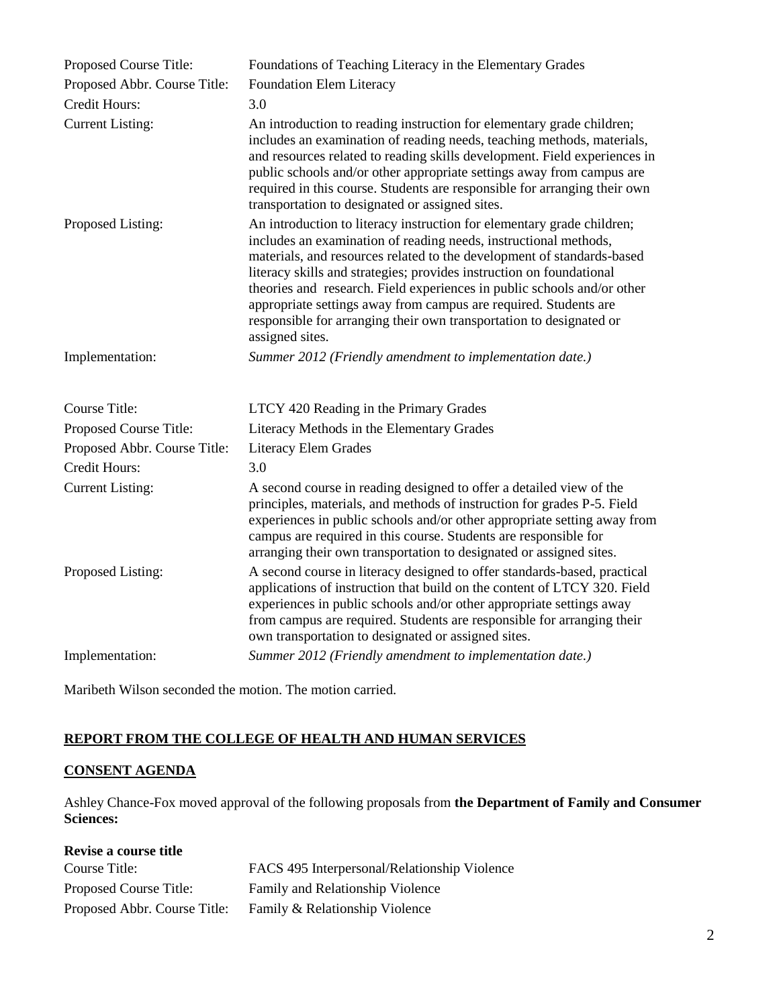| Proposed Course Title:       | Foundations of Teaching Literacy in the Elementary Grades                                                                                                                                                                                                                                                                                                                                                                                                                                                                             |
|------------------------------|---------------------------------------------------------------------------------------------------------------------------------------------------------------------------------------------------------------------------------------------------------------------------------------------------------------------------------------------------------------------------------------------------------------------------------------------------------------------------------------------------------------------------------------|
| Proposed Abbr. Course Title: | Foundation Elem Literacy                                                                                                                                                                                                                                                                                                                                                                                                                                                                                                              |
| Credit Hours:                | 3.0                                                                                                                                                                                                                                                                                                                                                                                                                                                                                                                                   |
| <b>Current Listing:</b>      | An introduction to reading instruction for elementary grade children;<br>includes an examination of reading needs, teaching methods, materials,<br>and resources related to reading skills development. Field experiences in<br>public schools and/or other appropriate settings away from campus are<br>required in this course. Students are responsible for arranging their own<br>transportation to designated or assigned sites.                                                                                                 |
| Proposed Listing:            | An introduction to literacy instruction for elementary grade children;<br>includes an examination of reading needs, instructional methods,<br>materials, and resources related to the development of standards-based<br>literacy skills and strategies; provides instruction on foundational<br>theories and research. Field experiences in public schools and/or other<br>appropriate settings away from campus are required. Students are<br>responsible for arranging their own transportation to designated or<br>assigned sites. |
| Implementation:              | Summer 2012 (Friendly amendment to implementation date.)                                                                                                                                                                                                                                                                                                                                                                                                                                                                              |
| <b>Course Title:</b>         | LTCY 420 Reading in the Primary Grades                                                                                                                                                                                                                                                                                                                                                                                                                                                                                                |
| Proposed Course Title:       | Literacy Methods in the Elementary Grades                                                                                                                                                                                                                                                                                                                                                                                                                                                                                             |
| Proposed Abbr. Course Title: | Literacy Elem Grades                                                                                                                                                                                                                                                                                                                                                                                                                                                                                                                  |
| Credit Hours:                | 3.0                                                                                                                                                                                                                                                                                                                                                                                                                                                                                                                                   |
| <b>Current Listing:</b>      | A second course in reading designed to offer a detailed view of the<br>principles, materials, and methods of instruction for grades P-5. Field<br>experiences in public schools and/or other appropriate setting away from<br>campus are required in this course. Students are responsible for<br>arranging their own transportation to designated or assigned sites.                                                                                                                                                                 |
| Proposed Listing:            | A second course in literacy designed to offer standards-based, practical<br>applications of instruction that build on the content of LTCY 320. Field<br>experiences in public schools and/or other appropriate settings away<br>from campus are required. Students are responsible for arranging their<br>own transportation to designated or assigned sites.                                                                                                                                                                         |
| Implementation:              | Summer 2012 (Friendly amendment to implementation date.)                                                                                                                                                                                                                                                                                                                                                                                                                                                                              |

Maribeth Wilson seconded the motion. The motion carried.

# **REPORT FROM THE COLLEGE OF HEALTH AND HUMAN SERVICES**

# **CONSENT AGENDA**

Ashley Chance-Fox moved approval of the following proposals from **the Department of Family and Consumer Sciences:**

| Revise a course title        |                                              |
|------------------------------|----------------------------------------------|
| Course Title:                | FACS 495 Interpersonal/Relationship Violence |
| Proposed Course Title:       | Family and Relationship Violence             |
| Proposed Abbr. Course Title: | Family & Relationship Violence               |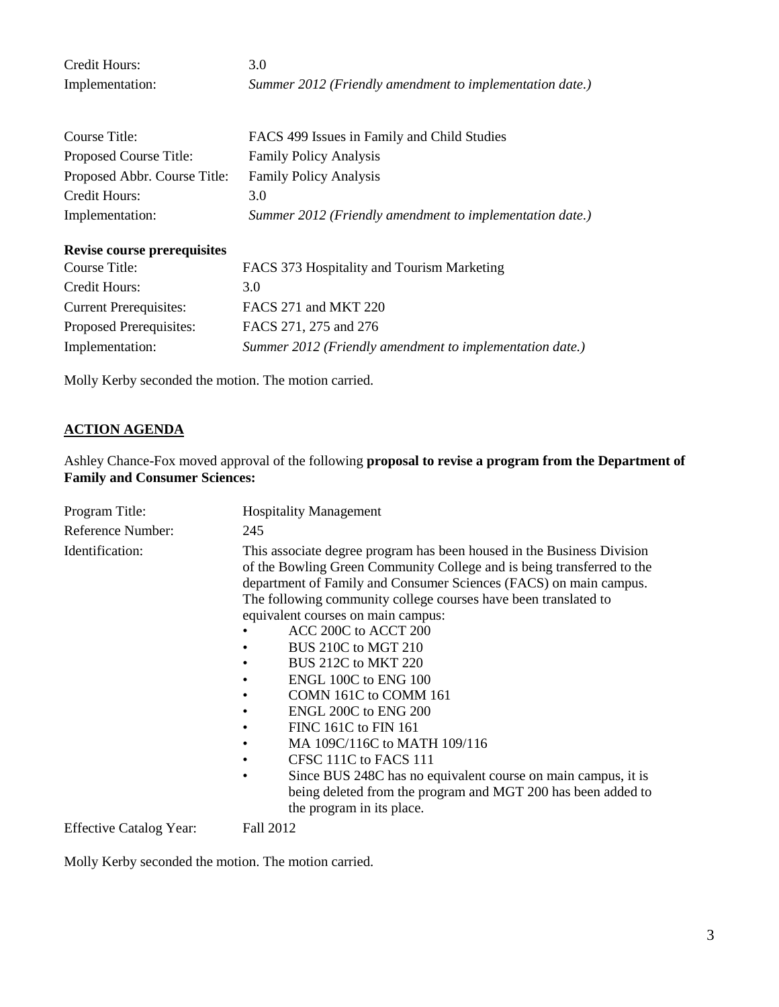| Credit Hours:                      | 3.0                                                      |
|------------------------------------|----------------------------------------------------------|
| Implementation:                    | Summer 2012 (Friendly amendment to implementation date.) |
|                                    |                                                          |
| Course Title:                      | FACS 499 Issues in Family and Child Studies              |
| Proposed Course Title:             | <b>Family Policy Analysis</b>                            |
| Proposed Abbr. Course Title:       | <b>Family Policy Analysis</b>                            |
| Credit Hours:                      | 3.0                                                      |
| Implementation:                    | Summer 2012 (Friendly amendment to implementation date.) |
| <b>Revise course prerequisites</b> |                                                          |
| Course Title:                      | FACS 373 Hospitality and Tourism Marketing               |
| Credit Hours:                      | 3.0                                                      |
| <b>Current Prerequisites:</b>      | FACS 271 and MKT 220                                     |
| Proposed Prerequisites:            | FACS 271, 275 and 276                                    |
| Implementation:                    | Summer 2012 (Friendly amendment to implementation date.) |

Molly Kerby seconded the motion. The motion carried.

# **ACTION AGENDA**

Ashley Chance-Fox moved approval of the following **proposal to revise a program from the Department of Family and Consumer Sciences:**

| Program Title:                 | <b>Hospitality Management</b>                                                                                                                                                                                                                                                                                                                                                                                                                                                                                                                                                                                                                                                                          |
|--------------------------------|--------------------------------------------------------------------------------------------------------------------------------------------------------------------------------------------------------------------------------------------------------------------------------------------------------------------------------------------------------------------------------------------------------------------------------------------------------------------------------------------------------------------------------------------------------------------------------------------------------------------------------------------------------------------------------------------------------|
| Reference Number:              | 245                                                                                                                                                                                                                                                                                                                                                                                                                                                                                                                                                                                                                                                                                                    |
| Identification:                | This associate degree program has been housed in the Business Division<br>of the Bowling Green Community College and is being transferred to the<br>department of Family and Consumer Sciences (FACS) on main campus.<br>The following community college courses have been translated to<br>equivalent courses on main campus:<br>ACC 200C to ACCT 200<br>BUS 210C to MGT 210<br><b>BUS 212C to MKT 220</b><br>ENGL 100C to ENG 100<br>COMN 161C to COMM 161<br>ENGL 200C to ENG 200<br>FINC 161C to FIN 161<br>MA 109C/116C to MATH 109/116<br>CFSC 111C to FACS 111<br>Since BUS 248C has no equivalent course on main campus, it is<br>being deleted from the program and MGT 200 has been added to |
| <b>Effective Catalog Year:</b> | the program in its place.<br>Fall 2012                                                                                                                                                                                                                                                                                                                                                                                                                                                                                                                                                                                                                                                                 |
|                                |                                                                                                                                                                                                                                                                                                                                                                                                                                                                                                                                                                                                                                                                                                        |

Molly Kerby seconded the motion. The motion carried.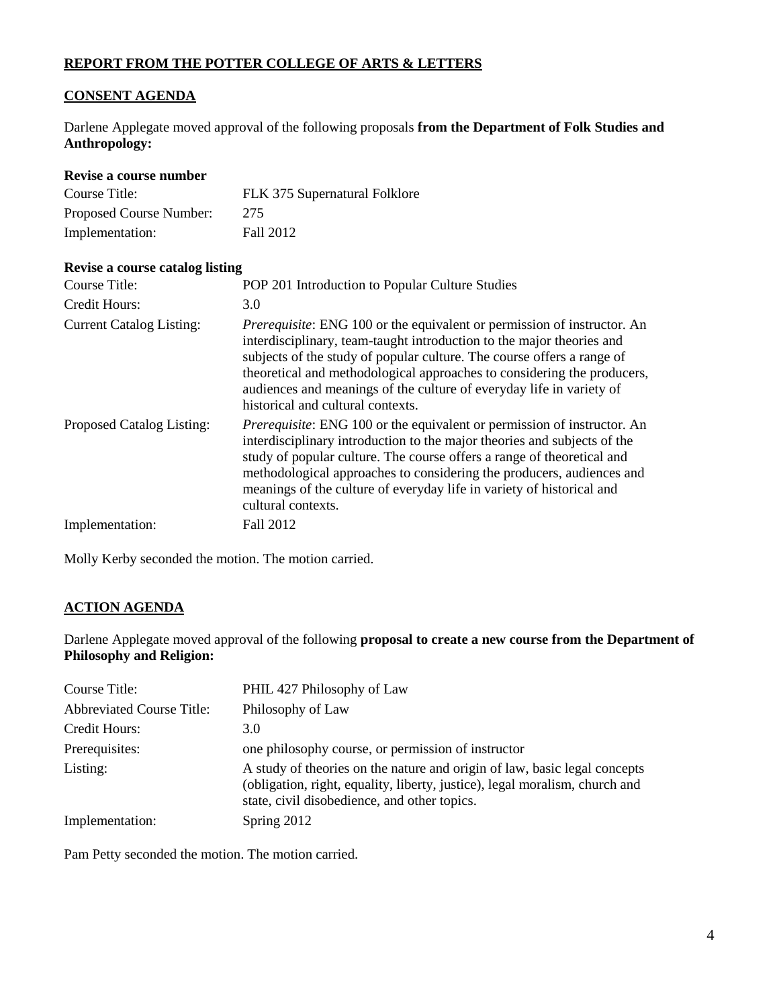# **REPORT FROM THE POTTER COLLEGE OF ARTS & LETTERS**

# **CONSENT AGENDA**

Darlene Applegate moved approval of the following proposals **from the Department of Folk Studies and Anthropology:**

| Revise a course number          |                                                                                                                                                                                                                                                                                                                                                                                                                           |
|---------------------------------|---------------------------------------------------------------------------------------------------------------------------------------------------------------------------------------------------------------------------------------------------------------------------------------------------------------------------------------------------------------------------------------------------------------------------|
| Course Title:                   | FLK 375 Supernatural Folklore                                                                                                                                                                                                                                                                                                                                                                                             |
| Proposed Course Number:         | 275                                                                                                                                                                                                                                                                                                                                                                                                                       |
| Implementation:                 | Fall 2012                                                                                                                                                                                                                                                                                                                                                                                                                 |
| Revise a course catalog listing |                                                                                                                                                                                                                                                                                                                                                                                                                           |
| Course Title:                   | POP 201 Introduction to Popular Culture Studies                                                                                                                                                                                                                                                                                                                                                                           |
| Credit Hours:                   | 3.0                                                                                                                                                                                                                                                                                                                                                                                                                       |
| <b>Current Catalog Listing:</b> | <i>Prerequisite:</i> ENG 100 or the equivalent or permission of instructor. An<br>interdisciplinary, team-taught introduction to the major theories and<br>subjects of the study of popular culture. The course offers a range of<br>theoretical and methodological approaches to considering the producers,<br>audiences and meanings of the culture of everyday life in variety of<br>historical and cultural contexts. |
| Proposed Catalog Listing:       | <i>Prerequisite:</i> ENG 100 or the equivalent or permission of instructor. An<br>interdisciplinary introduction to the major theories and subjects of the<br>study of popular culture. The course offers a range of theoretical and<br>methodological approaches to considering the producers, audiences and<br>meanings of the culture of everyday life in variety of historical and<br>cultural contexts.              |
| Implementation:                 | Fall 2012                                                                                                                                                                                                                                                                                                                                                                                                                 |

Molly Kerby seconded the motion. The motion carried.

# **ACTION AGENDA**

Darlene Applegate moved approval of the following **proposal to create a new course from the Department of Philosophy and Religion:**

| Course Title:                    | PHIL 427 Philosophy of Law                                                                                                                                                                               |
|----------------------------------|----------------------------------------------------------------------------------------------------------------------------------------------------------------------------------------------------------|
| <b>Abbreviated Course Title:</b> | Philosophy of Law                                                                                                                                                                                        |
| Credit Hours:                    | 3.0                                                                                                                                                                                                      |
| Prerequisites:                   | one philosophy course, or permission of instructor                                                                                                                                                       |
| Listing:                         | A study of theories on the nature and origin of law, basic legal concepts<br>(obligation, right, equality, liberty, justice), legal moralism, church and<br>state, civil disobedience, and other topics. |
| Implementation:                  | Spring 2012                                                                                                                                                                                              |

Pam Petty seconded the motion. The motion carried.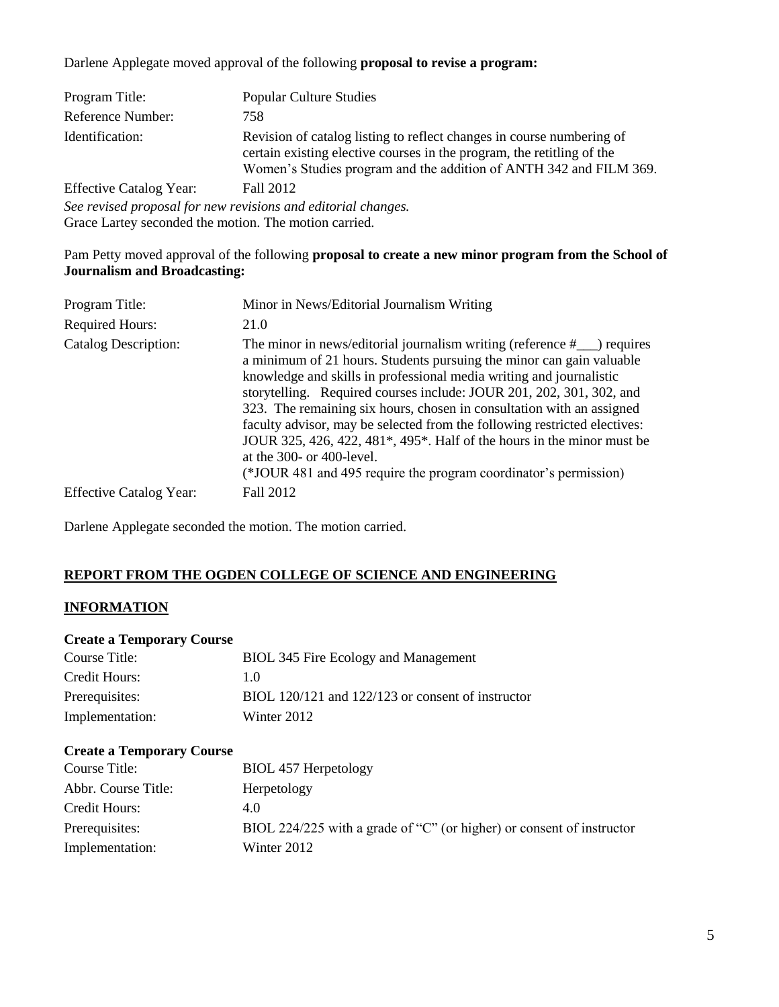Darlene Applegate moved approval of the following **proposal to revise a program:**

| Program Title:                                                | <b>Popular Culture Studies</b>                                                                                                                                                                                        |
|---------------------------------------------------------------|-----------------------------------------------------------------------------------------------------------------------------------------------------------------------------------------------------------------------|
| Reference Number:                                             | 758                                                                                                                                                                                                                   |
| Identification:                                               | Revision of catalog listing to reflect changes in course numbering of<br>certain existing elective courses in the program, the retitling of the<br>Women's Studies program and the addition of ANTH 342 and FILM 369. |
| <b>Effective Catalog Year:</b>                                | Fall 2012                                                                                                                                                                                                             |
| See revised proposal for new revisions and editorial changes. |                                                                                                                                                                                                                       |

Grace Lartey seconded the motion. The motion carried.

### Pam Petty moved approval of the following **proposal to create a new minor program from the School of Journalism and Broadcasting:**

| Program Title:                 | Minor in News/Editorial Journalism Writing                                                                                                                                                                                                                                                                                                                                                                                                                                                                                                                                                                                                   |
|--------------------------------|----------------------------------------------------------------------------------------------------------------------------------------------------------------------------------------------------------------------------------------------------------------------------------------------------------------------------------------------------------------------------------------------------------------------------------------------------------------------------------------------------------------------------------------------------------------------------------------------------------------------------------------------|
| <b>Required Hours:</b>         | 21.0                                                                                                                                                                                                                                                                                                                                                                                                                                                                                                                                                                                                                                         |
| <b>Catalog Description:</b>    | The minor in news/editorial journalism writing (reference $#$ $\Box$ ) requires<br>a minimum of 21 hours. Students pursuing the minor can gain valuable<br>knowledge and skills in professional media writing and journalistic<br>storytelling. Required courses include: JOUR 201, 202, 301, 302, and<br>323. The remaining six hours, chosen in consultation with an assigned<br>faculty advisor, may be selected from the following restricted electives:<br>JOUR 325, 426, 422, 481*, 495*. Half of the hours in the minor must be<br>at the $300-$ or $400$ -level.<br>(*JOUR 481 and 495 require the program coordinator's permission) |
| <b>Effective Catalog Year:</b> | Fall 2012                                                                                                                                                                                                                                                                                                                                                                                                                                                                                                                                                                                                                                    |

Darlene Applegate seconded the motion. The motion carried.

# **REPORT FROM THE OGDEN COLLEGE OF SCIENCE AND ENGINEERING**

#### **INFORMATION**

#### **Create a Temporary Course**

| Course Title:   | BIOL 345 Fire Ecology and Management              |
|-----------------|---------------------------------------------------|
| Credit Hours:   | 1.0                                               |
| Prerequisites:  | BIOL 120/121 and 122/123 or consent of instructor |
| Implementation: | Winter 2012                                       |

#### **Create a Temporary Course**

| Course Title:       | BIOL 457 Herpetology                                                  |
|---------------------|-----------------------------------------------------------------------|
| Abbr. Course Title: | Herpetology                                                           |
| Credit Hours:       | 4.0                                                                   |
| Prerequisites:      | BIOL 224/225 with a grade of "C" (or higher) or consent of instructor |
| Implementation:     | Winter 2012                                                           |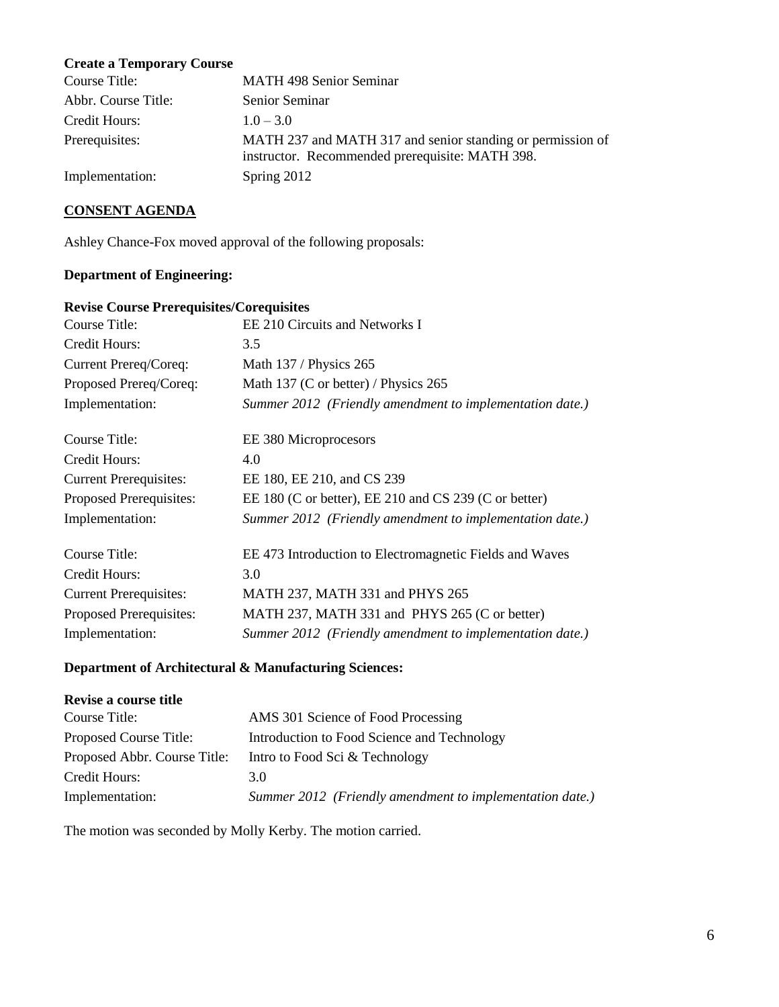# **Create a Temporary Course**

| Course Title:       | <b>MATH 498 Senior Seminar</b>                                                                                |
|---------------------|---------------------------------------------------------------------------------------------------------------|
| Abbr. Course Title: | Senior Seminar                                                                                                |
| Credit Hours:       | $1.0 - 3.0$                                                                                                   |
| Prerequisites:      | MATH 237 and MATH 317 and senior standing or permission of<br>instructor. Recommended prerequisite: MATH 398. |
| Implementation:     | Spring 2012                                                                                                   |

# **CONSENT AGENDA**

Ashley Chance-Fox moved approval of the following proposals:

# **Department of Engineering:**

### **Revise Course Prerequisites/Corequisites**

| Course Title:                 | EE 210 Circuits and Networks I                           |
|-------------------------------|----------------------------------------------------------|
| Credit Hours:                 | 3.5                                                      |
| Current Prereq/Coreq:         | Math 137 / Physics 265                                   |
| Proposed Prereq/Coreq:        | Math 137 (C or better) / Physics $265$                   |
| Implementation:               | Summer 2012 (Friendly amendment to implementation date.) |
| Course Title:                 | EE 380 Microprocesors                                    |
| Credit Hours:                 | 4.0                                                      |
| <b>Current Prerequisites:</b> | EE 180, EE 210, and CS 239                               |
| Proposed Prerequisites:       | EE 180 (C or better), EE 210 and CS 239 (C or better)    |
| Implementation:               | Summer 2012 (Friendly amendment to implementation date.) |
| Course Title:                 | EE 473 Introduction to Electromagnetic Fields and Waves  |
| Credit Hours:                 | 3.0                                                      |
| <b>Current Prerequisites:</b> | MATH 237, MATH 331 and PHYS 265                          |
| Proposed Prerequisites:       | MATH 237, MATH 331 and PHYS 265 (C or better)            |
| Implementation:               | Summer 2012 (Friendly amendment to implementation date.) |

# **Department of Architectural & Manufacturing Sciences:**

| Revise a course title        |                                                          |
|------------------------------|----------------------------------------------------------|
| Course Title:                | AMS 301 Science of Food Processing                       |
| Proposed Course Title:       | Introduction to Food Science and Technology              |
| Proposed Abbr. Course Title: | Intro to Food Sci & Technology                           |
| Credit Hours:                | 3.0                                                      |
| Implementation:              | Summer 2012 (Friendly amendment to implementation date.) |

The motion was seconded by Molly Kerby. The motion carried.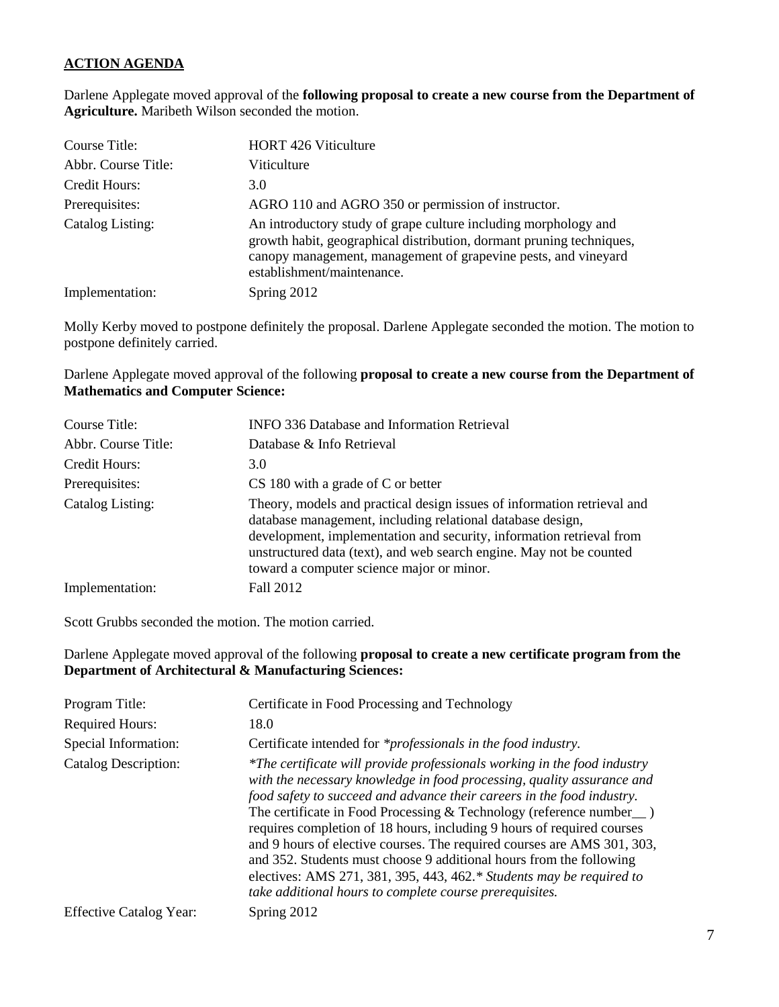# **ACTION AGENDA**

Darlene Applegate moved approval of the **following proposal to create a new course from the Department of Agriculture.** Maribeth Wilson seconded the motion.

| Course Title:       | <b>HORT 426 Viticulture</b>                                                                                                                                                                                                             |
|---------------------|-----------------------------------------------------------------------------------------------------------------------------------------------------------------------------------------------------------------------------------------|
| Abbr. Course Title: | Viticulture                                                                                                                                                                                                                             |
| Credit Hours:       | 3.0                                                                                                                                                                                                                                     |
| Prerequisites:      | AGRO 110 and AGRO 350 or permission of instructor.                                                                                                                                                                                      |
| Catalog Listing:    | An introductory study of grape culture including morphology and<br>growth habit, geographical distribution, dormant pruning techniques,<br>canopy management, management of grapevine pests, and vineyard<br>establishment/maintenance. |
| Implementation:     | Spring 2012                                                                                                                                                                                                                             |

Molly Kerby moved to postpone definitely the proposal. Darlene Applegate seconded the motion. The motion to postpone definitely carried.

Darlene Applegate moved approval of the following **proposal to create a new course from the Department of Mathematics and Computer Science:**

| Course Title:       | <b>INFO 336 Database and Information Retrieval</b>                                                                                                                                                                                                                                                                                |
|---------------------|-----------------------------------------------------------------------------------------------------------------------------------------------------------------------------------------------------------------------------------------------------------------------------------------------------------------------------------|
| Abbr. Course Title: | Database & Info Retrieval                                                                                                                                                                                                                                                                                                         |
| Credit Hours:       | 3.0                                                                                                                                                                                                                                                                                                                               |
| Prerequisites:      | $CS$ 180 with a grade of C or better                                                                                                                                                                                                                                                                                              |
| Catalog Listing:    | Theory, models and practical design issues of information retrieval and<br>database management, including relational database design,<br>development, implementation and security, information retrieval from<br>unstructured data (text), and web search engine. May not be counted<br>toward a computer science major or minor. |
| Implementation:     | Fall 2012                                                                                                                                                                                                                                                                                                                         |

Scott Grubbs seconded the motion. The motion carried.

Darlene Applegate moved approval of the following **proposal to create a new certificate program from the Department of Architectural & Manufacturing Sciences:**

| Program Title:                 | Certificate in Food Processing and Technology                                                                                                                                                                                                                                                                                                                                                                                                                                                                                                                                                                                                                                  |
|--------------------------------|--------------------------------------------------------------------------------------------------------------------------------------------------------------------------------------------------------------------------------------------------------------------------------------------------------------------------------------------------------------------------------------------------------------------------------------------------------------------------------------------------------------------------------------------------------------------------------------------------------------------------------------------------------------------------------|
| <b>Required Hours:</b>         | 18.0                                                                                                                                                                                                                                                                                                                                                                                                                                                                                                                                                                                                                                                                           |
| Special Information:           | Certificate intended for *professionals in the food industry.                                                                                                                                                                                                                                                                                                                                                                                                                                                                                                                                                                                                                  |
| <b>Catalog Description:</b>    | *The certificate will provide professionals working in the food industry<br>with the necessary knowledge in food processing, quality assurance and<br>food safety to succeed and advance their careers in the food industry.<br>The certificate in Food Processing $&$ Technology (reference number $\_\,$ )<br>requires completion of 18 hours, including 9 hours of required courses<br>and 9 hours of elective courses. The required courses are AMS 301, 303,<br>and 352. Students must choose 9 additional hours from the following<br>electives: AMS 271, 381, 395, 443, 462. $*$ Students may be required to<br>take additional hours to complete course prerequisites. |
| <b>Effective Catalog Year:</b> | Spring 2012                                                                                                                                                                                                                                                                                                                                                                                                                                                                                                                                                                                                                                                                    |